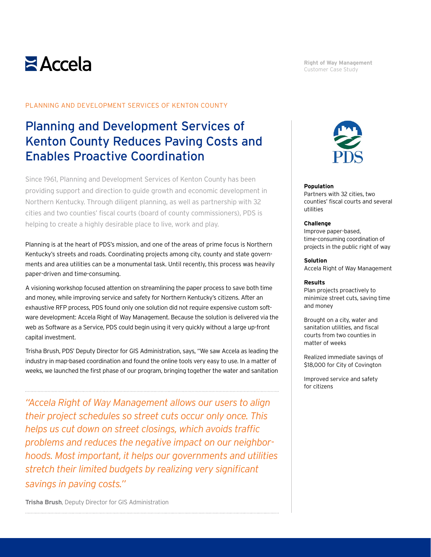# $\geq$  Accela

**Right of Way Management** Customer Case Study

#### PLANNING AND DEVELOPMENT SERVICES OF KENTON COUNTY

## Planning and Development Services of Kenton County Reduces Paving Costs and Enables Proactive Coordination

Since 1961, Planning and Development Services of Kenton County has been providing support and direction to guide growth and economic development in Northern Kentucky. Through diligent planning, as well as partnership with 32 cities and two counties' fiscal courts (board of county commissioners), PDS is helping to create a highly desirable place to live, work and play.

Planning is at the heart of PDS's mission, and one of the areas of prime focus is Northern Kentucky's streets and roads. Coordinating projects among city, county and state governments and area utilities can be a monumental task. Until recently, this process was heavily paper-driven and time-consuming.

A visioning workshop focused attention on streamlining the paper process to save both time and money, while improving service and safety for Northern Kentucky's citizens. After an exhaustive RFP process, PDS found only one solution did not require expensive custom software development: Accela Right of Way Management. Because the solution is delivered via the web as Software as a Service, PDS could begin using it very quickly without a large up-front capital investment.

Trisha Brush, PDS' Deputy Director for GIS Administration, says, "We saw Accela as leading the industry in map-based coordination and found the online tools very easy to use. In a matter of weeks, we launched the first phase of our program, bringing together the water and sanitation

*"Accela Right of Way Management allows our users to align their project schedules so street cuts occur only once. This helps us cut down on street closings, which avoids traffic problems and reduces the negative impact on our neighborhoods. Most important, it helps our governments and utilities stretch their limited budgets by realizing very significant savings in paving costs."*



#### **Population**

Partners with 32 cities, two counties' fiscal courts and several utilities

#### **Challenge**

Improve paper-based, time-consuming coordination of projects in the public right of way

#### **Solution**

Accela Right of Way Management

#### **Results**

Plan projects proactively to minimize street cuts, saving time and money

Brought on a city, water and sanitation utilities, and fiscal courts from two counties in matter of weeks

Realized immediate savings of \$18,000 for City of Covington

Improved service and safety for citizens

**Trisha Brush**, Deputy Director for GIS Administration